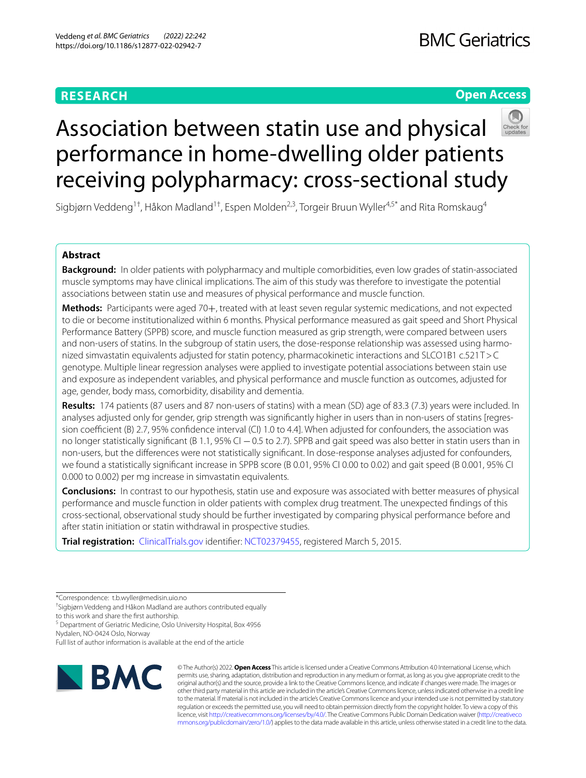# **RESEARCH**

# **Open Access**



# Association between statin use and physical performance in home-dwelling older patients receiving polypharmacy: cross-sectional study

Sigbjørn Veddeng<sup>1†</sup>, Håkon Madland<sup>1†</sup>, Espen Molden<sup>2,3</sup>, Torgeir Bruun Wyller<sup>4,5\*</sup> and Rita Romskaug<sup>4</sup>

# **Abstract**

**Background:** In older patients with polypharmacy and multiple comorbidities, even low grades of statin-associated muscle symptoms may have clinical implications. The aim of this study was therefore to investigate the potential associations between statin use and measures of physical performance and muscle function.

**Methods:** Participants were aged 70+, treated with at least seven regular systemic medications, and not expected to die or become institutionalized within 6 months. Physical performance measured as gait speed and Short Physical Performance Battery (SPPB) score, and muscle function measured as grip strength, were compared between users and non-users of statins. In the subgroup of statin users, the dose-response relationship was assessed using harmonized simvastatin equivalents adjusted for statin potency, pharmacokinetic interactions and SLCO1B1 c.521T>C genotype. Multiple linear regression analyses were applied to investigate potential associations between stain use and exposure as independent variables, and physical performance and muscle function as outcomes, adjusted for age, gender, body mass, comorbidity, disability and dementia.

**Results:** 174 patients (87 users and 87 non-users of statins) with a mean (SD) age of 83.3 (7.3) years were included. In analyses adjusted only for gender, grip strength was signifcantly higher in users than in non-users of statins [regression coefficient (B) 2.7, 95% confidence interval (CI) 1.0 to 4.4]. When adjusted for confounders, the association was no longer statistically significant (B 1.1, 95% CI − 0.5 to 2.7). SPPB and gait speed was also better in statin users than in non-users, but the diferences were not statistically signifcant. In dose-response analyses adjusted for confounders, we found a statistically signifcant increase in SPPB score (B 0.01, 95% CI 0.00 to 0.02) and gait speed (B 0.001, 95% CI 0.000 to 0.002) per mg increase in simvastatin equivalents.

**Conclusions:** In contrast to our hypothesis, statin use and exposure was associated with better measures of physical performance and muscle function in older patients with complex drug treatment. The unexpected fndings of this cross-sectional, observational study should be further investigated by comparing physical performance before and after statin initiation or statin withdrawal in prospective studies.

**Trial registration:** [ClinicalTrials.gov](http://clinicaltrials.gov) identifier: [NCT02379455,](https://clinicaltrials.gov/ct2/show/NCT02379455) registered March 5, 2015.

† Sigbjørn Veddeng and Håkon Madland are authors contributed equally

to this work and share the frst authorship.

<sup>5</sup> Department of Geriatric Medicine, Oslo University Hospital, Box 4956 Nydalen, NO-0424 Oslo, Norway

Full list of author information is available at the end of the article



© The Author(s) 2022. **Open Access** This article is licensed under a Creative Commons Attribution 4.0 International License, which permits use, sharing, adaptation, distribution and reproduction in any medium or format, as long as you give appropriate credit to the original author(s) and the source, provide a link to the Creative Commons licence, and indicate if changes were made. The images or other third party material in this article are included in the article's Creative Commons licence, unless indicated otherwise in a credit line to the material. If material is not included in the article's Creative Commons licence and your intended use is not permitted by statutory regulation or exceeds the permitted use, you will need to obtain permission directly from the copyright holder. To view a copy of this licence, visit [http://creativecommons.org/licenses/by/4.0/.](http://creativecommons.org/licenses/by/4.0/) The Creative Commons Public Domain Dedication waiver ([http://creativeco](http://creativecommons.org/publicdomain/zero/1.0/) [mmons.org/publicdomain/zero/1.0/](http://creativecommons.org/publicdomain/zero/1.0/)) applies to the data made available in this article, unless otherwise stated in a credit line to the data.

<sup>\*</sup>Correspondence: t.b.wyller@medisin.uio.no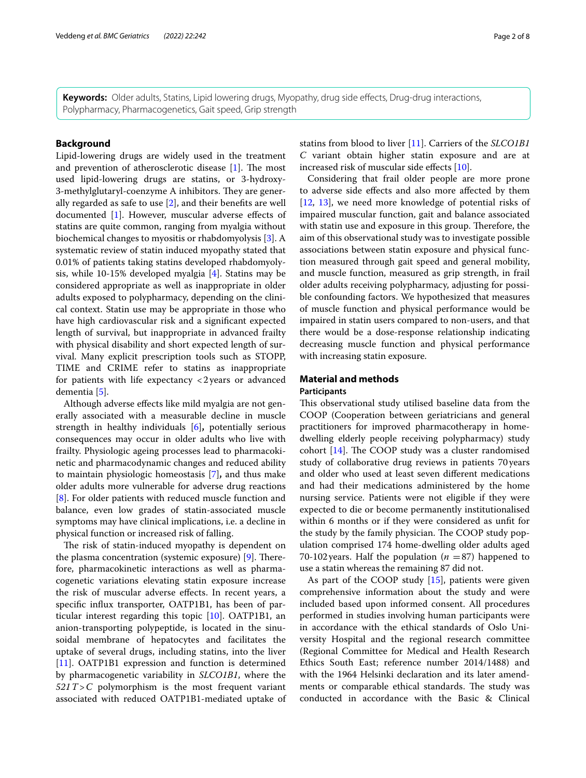**Keywords:** Older adults, Statins, Lipid lowering drugs, Myopathy, drug side efects, Drug-drug interactions, Polypharmacy, Pharmacogenetics, Gait speed, Grip strength

# **Background**

Lipid-lowering drugs are widely used in the treatment and prevention of atherosclerotic disease  $[1]$  $[1]$ . The most used lipid-lowering drugs are statins, or 3-hydroxy-3-methylglutaryl-coenzyme A inhibitors. They are generally regarded as safe to use [[2](#page-7-1)], and their benefts are well documented [[1\]](#page-7-0). However, muscular adverse efects of statins are quite common, ranging from myalgia without biochemical changes to myositis or rhabdomyolysis [\[3\]](#page-7-2). A systematic review of statin induced myopathy stated that 0.01% of patients taking statins developed rhabdomyolysis, while 10-15% developed myalgia [\[4](#page-7-3)]. Statins may be considered appropriate as well as inappropriate in older adults exposed to polypharmacy, depending on the clinical context. Statin use may be appropriate in those who have high cardiovascular risk and a signifcant expected length of survival, but inappropriate in advanced frailty with physical disability and short expected length of survival. Many explicit prescription tools such as STOPP, TIME and CRIME refer to statins as inappropriate for patients with life expectancy <2years or advanced dementia [\[5](#page-7-4)].

Although adverse efects like mild myalgia are not generally associated with a measurable decline in muscle strength in healthy individuals [\[6](#page-7-5)]**,** potentially serious consequences may occur in older adults who live with frailty. Physiologic ageing processes lead to pharmacokinetic and pharmacodynamic changes and reduced ability to maintain physiologic homeostasis [\[7\]](#page-7-6)**,** and thus make older adults more vulnerable for adverse drug reactions [[8\]](#page-7-7). For older patients with reduced muscle function and balance, even low grades of statin-associated muscle symptoms may have clinical implications, i.e. a decline in physical function or increased risk of falling.

The risk of statin-induced myopathy is dependent on the plasma concentration (systemic exposure) [\[9](#page-7-8)]. Therefore, pharmacokinetic interactions as well as pharmacogenetic variations elevating statin exposure increase the risk of muscular adverse efects. In recent years, a specifc infux transporter, OATP1B1, has been of particular interest regarding this topic [\[10\]](#page-7-9). OATP1B1, an anion-transporting polypeptide, is located in the sinusoidal membrane of hepatocytes and facilitates the uptake of several drugs, including statins, into the liver [[11\]](#page-7-10). OATP1B1 expression and function is determined by pharmacogenetic variability in *SLCO1B1*, where the *521T>C* polymorphism is the most frequent variant associated with reduced OATP1B1-mediated uptake of statins from blood to liver [\[11\]](#page-7-10). Carriers of the *SLCO1B1 C* variant obtain higher statin exposure and are at increased risk of muscular side efects [[10](#page-7-9)].

Considering that frail older people are more prone to adverse side efects and also more afected by them [[12,](#page-7-11) [13\]](#page-7-12), we need more knowledge of potential risks of impaired muscular function, gait and balance associated with statin use and exposure in this group. Therefore, the aim of this observational study was to investigate possible associations between statin exposure and physical function measured through gait speed and general mobility, and muscle function, measured as grip strength, in frail older adults receiving polypharmacy, adjusting for possible confounding factors. We hypothesized that measures of muscle function and physical performance would be impaired in statin users compared to non-users, and that there would be a dose-response relationship indicating decreasing muscle function and physical performance with increasing statin exposure.

# **Material and methods Participants**

This observational study utilised baseline data from the COOP (Cooperation between geriatricians and general practitioners for improved pharmacotherapy in homedwelling elderly people receiving polypharmacy) study cohort  $[14]$  $[14]$ . The COOP study was a cluster randomised study of collaborative drug reviews in patients 70 years and older who used at least seven diferent medications and had their medications administered by the home nursing service. Patients were not eligible if they were expected to die or become permanently institutionalised within 6 months or if they were considered as unft for the study by the family physician. The COOP study population comprised 174 home-dwelling older adults aged 70-102 years. Half the population  $(n = 87)$  happened to use a statin whereas the remaining 87 did not.

As part of the COOP study [[15\]](#page-7-14), patients were given comprehensive information about the study and were included based upon informed consent. All procedures performed in studies involving human participants were in accordance with the ethical standards of Oslo University Hospital and the regional research committee (Regional Committee for Medical and Health Research Ethics South East; reference number 2014/1488) and with the 1964 Helsinki declaration and its later amendments or comparable ethical standards. The study was conducted in accordance with the Basic & Clinical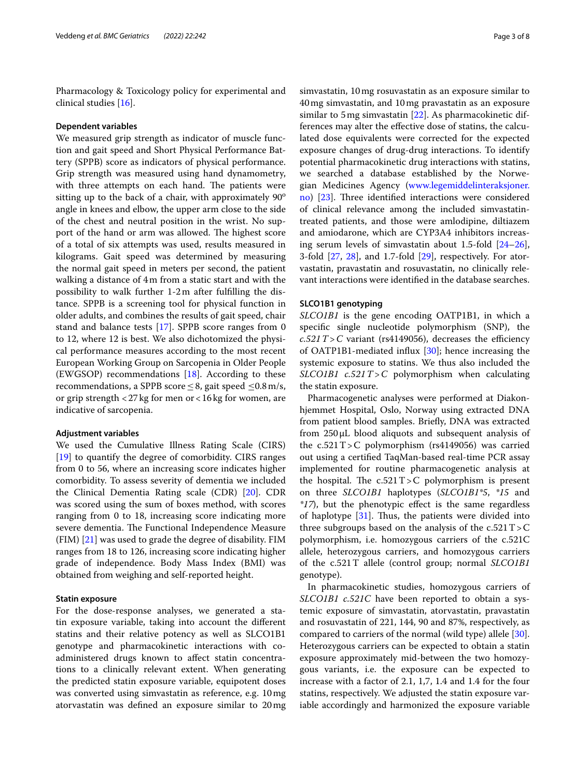Pharmacology & Toxicology policy for experimental and clinical studies [\[16](#page-7-15)].

# **Dependent variables**

We measured grip strength as indicator of muscle function and gait speed and Short Physical Performance Battery (SPPB) score as indicators of physical performance. Grip strength was measured using hand dynamometry, with three attempts on each hand. The patients were sitting up to the back of a chair, with approximately  $90^{\circ}$ angle in knees and elbow, the upper arm close to the side of the chest and neutral position in the wrist. No support of the hand or arm was allowed. The highest score of a total of six attempts was used, results measured in kilograms. Gait speed was determined by measuring the normal gait speed in meters per second, the patient walking a distance of 4m from a static start and with the possibility to walk further 1-2m after fulflling the distance. SPPB is a screening tool for physical function in older adults, and combines the results of gait speed, chair stand and balance tests [[17\]](#page-7-16). SPPB score ranges from 0 to 12, where 12 is best. We also dichotomized the physical performance measures according to the most recent European Working Group on Sarcopenia in Older People (EWGSOP) recommendations [\[18](#page-7-17)]. According to these recommendations, a SPPB score  $\leq$ 8, gait speed  $\leq$ 0.8m/s, or grip strength <27kg for men or<16kg for women, are indicative of sarcopenia.

## **Adjustment variables**

We used the Cumulative Illness Rating Scale (CIRS) [[19\]](#page-7-18) to quantify the degree of comorbidity. CIRS ranges from 0 to 56, where an increasing score indicates higher comorbidity. To assess severity of dementia we included the Clinical Dementia Rating scale (CDR) [[20\]](#page-7-19). CDR was scored using the sum of boxes method, with scores ranging from 0 to 18, increasing score indicating more severe dementia. The Functional Independence Measure (FIM) [\[21](#page-7-20)] was used to grade the degree of disability. FIM ranges from 18 to 126, increasing score indicating higher grade of independence. Body Mass Index (BMI) was obtained from weighing and self-reported height.

# **Statin exposure**

For the dose-response analyses, we generated a statin exposure variable, taking into account the diferent statins and their relative potency as well as SLCO1B1 genotype and pharmacokinetic interactions with coadministered drugs known to afect statin concentrations to a clinically relevant extent. When generating the predicted statin exposure variable, equipotent doses was converted using simvastatin as reference, e.g. 10mg atorvastatin was defned an exposure similar to 20mg

simvastatin, 10mg rosuvastatin as an exposure similar to 40mg simvastatin, and 10mg pravastatin as an exposure similar to 5mg simvastatin [[22\]](#page-7-21). As pharmacokinetic differences may alter the efective dose of statins, the calculated dose equivalents were corrected for the expected exposure changes of drug-drug interactions. To identify potential pharmacokinetic drug interactions with statins, we searched a database established by the Norwegian Medicines Agency [\(www.legemiddelinteraksjoner.](http://www.legemiddelinteraksjoner.no) [no](http://www.legemiddelinteraksjoner.no)) [\[23\]](#page-7-22). Three identified interactions were considered of clinical relevance among the included simvastatintreated patients, and those were amlodipine, diltiazem and amiodarone, which are CYP3A4 inhibitors increasing serum levels of simvastatin about 1.5-fold [[24](#page-7-23)[–26](#page-7-24)], 3-fold [\[27,](#page-7-25) [28\]](#page-7-26), and 1.7-fold [\[29](#page-7-27)], respectively. For atorvastatin, pravastatin and rosuvastatin, no clinically relevant interactions were identifed in the database searches.

# **SLCO1B1 genotyping**

*SLCO1B1* is the gene encoding OATP1B1, in which a specifc single nucleotide polymorphism (SNP), the  $c.521T>C$  variant (rs4149056), decreases the efficiency of OATP1B1-mediated infux [[30\]](#page-7-28); hence increasing the systemic exposure to statins. We thus also included the *SLCO1B1 c.521T>C* polymorphism when calculating the statin exposure.

Pharmacogenetic analyses were performed at Diakonhjemmet Hospital, Oslo, Norway using extracted DNA from patient blood samples. Briefy, DNA was extracted from 250μL blood aliquots and subsequent analysis of the  $c.521T>C$  polymorphism (rs4149056) was carried out using a certifed TaqMan-based real-time PCR assay implemented for routine pharmacogenetic analysis at the hospital. The  $c.521T>C$  polymorphism is present on three *SLCO1B1* haplotypes (*SLCO1B1\*5*, *\*15* and *\*17*), but the phenotypic efect is the same regardless of haplotype  $[31]$  $[31]$  $[31]$ . Thus, the patients were divided into three subgroups based on the analysis of the  $c.521T>C$ polymorphism, i.e. homozygous carriers of the c.521C allele, heterozygous carriers, and homozygous carriers of the c.521T allele (control group; normal *SLCO1B1* genotype).

In pharmacokinetic studies, homozygous carriers of *SLCO1B1 c.521C* have been reported to obtain a systemic exposure of simvastatin, atorvastatin, pravastatin and rosuvastatin of 221, 144, 90 and 87%, respectively, as compared to carriers of the normal (wild type) allele [\[30](#page-7-28)]. Heterozygous carriers can be expected to obtain a statin exposure approximately mid-between the two homozygous variants, i.e. the exposure can be expected to increase with a factor of 2.1, 1,7, 1.4 and 1.4 for the four statins, respectively. We adjusted the statin exposure variable accordingly and harmonized the exposure variable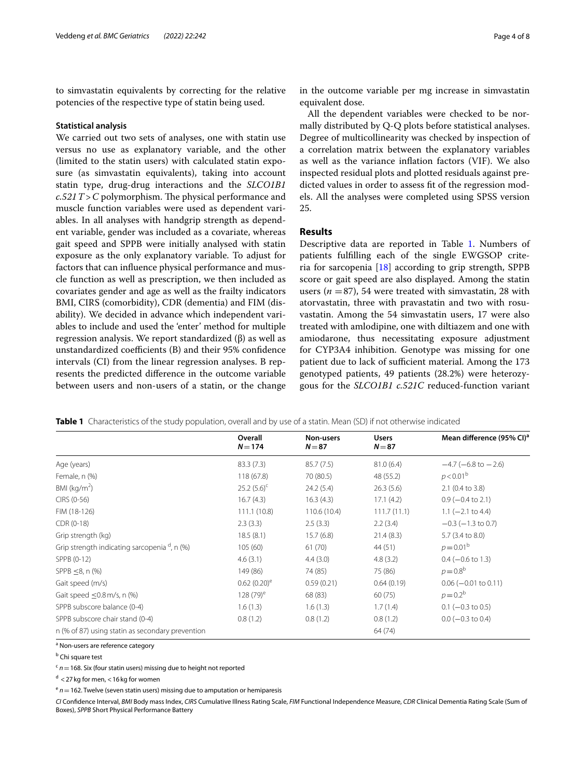to simvastatin equivalents by correcting for the relative potencies of the respective type of statin being used.

#### **Statistical analysis**

We carried out two sets of analyses, one with statin use versus no use as explanatory variable, and the other (limited to the statin users) with calculated statin exposure (as simvastatin equivalents), taking into account statin type, drug-drug interactions and the *SLCO1B1*   $c.521T>C$  polymorphism. The physical performance and muscle function variables were used as dependent variables. In all analyses with handgrip strength as dependent variable, gender was included as a covariate, whereas gait speed and SPPB were initially analysed with statin exposure as the only explanatory variable. To adjust for factors that can infuence physical performance and muscle function as well as prescription, we then included as covariates gender and age as well as the frailty indicators BMI, CIRS (comorbidity), CDR (dementia) and FIM (disability). We decided in advance which independent variables to include and used the 'enter' method for multiple regression analysis. We report standardized (β) as well as unstandardized coefficients  $(B)$  and their 95% confidence intervals (CI) from the linear regression analyses. B represents the predicted diference in the outcome variable between users and non-users of a statin, or the change in the outcome variable per mg increase in simvastatin equivalent dose.

All the dependent variables were checked to be normally distributed by Q-Q plots before statistical analyses. Degree of multicollinearity was checked by inspection of a correlation matrix between the explanatory variables as well as the variance infation factors (VIF). We also inspected residual plots and plotted residuals against predicted values in order to assess ft of the regression models. All the analyses were completed using SPSS version 25.

# **Results**

Descriptive data are reported in Table [1.](#page-3-0) Numbers of patients fulflling each of the single EWGSOP criteria for sarcopenia [[18\]](#page-7-17) according to grip strength, SPPB score or gait speed are also displayed. Among the statin users ( $n = 87$ ), 54 were treated with simvastatin, 28 with atorvastatin, three with pravastatin and two with rosuvastatin. Among the 54 simvastatin users, 17 were also treated with amlodipine, one with diltiazem and one with amiodarone, thus necessitating exposure adjustment for CYP3A4 inhibition. Genotype was missing for one patient due to lack of sufficient material. Among the 173 genotyped patients, 49 patients (28.2%) were heterozygous for the *SLCO1B1 c.521C* reduced-function variant

<span id="page-3-0"></span>**Table 1** Characteristics of the study population, overall and by use of a statin. Mean (SD) if not otherwise indicated

|                                                          | Overall<br>$N = 174$ | Non-users<br>$N=87$ | <b>Users</b><br>$N = 87$ | Mean difference (95% CI) <sup>a</sup> |
|----------------------------------------------------------|----------------------|---------------------|--------------------------|---------------------------------------|
|                                                          |                      |                     |                          |                                       |
| Age (years)                                              | 83.3(7.3)            | 85.7(7.5)           | 81.0(6.4)                | $-4.7$ ( $-6.8$ to $-2.6$ )           |
| Female, n (%)                                            | 118(67.8)            | 70 (80.5)           | 48 (55.2)                | $p < 0.01^b$                          |
| BMI ( $kg/m2$ )                                          | $25.2(5.6)^c$        | 24.2(5.4)           | 26.3(5.6)                | $2.1$ (0.4 to 3.8)                    |
| CIRS (0-56)                                              | 16.7(4.3)            | 16.3(4.3)           | 17.1(4.2)                | $0.9$ ( $-0.4$ to 2.1)                |
| FIM (18-126)                                             | 111.1(10.8)          | 110.6 (10.4)        | 111.7(11.1)              | $1.1 (-2.1 to 4.4)$                   |
| CDR (0-18)                                               | 2.3(3.3)             | 2.5(3.3)            | 2.2(3.4)                 | $-0.3$ ( $-1.3$ to 0.7)               |
| Grip strength (kg)                                       | 18.5(8.1)            | 15.7(6.8)           | 21.4(8.3)                | 5.7 (3.4 to 8.0)                      |
| Grip strength indicating sarcopenia <sup>d</sup> , n (%) | 105(60)              | 61(70)              | 44 (51)                  | $p = 0.01^{\rm b}$                    |
| SPPB (0-12)                                              | 4.6(3.1)             | 4.4(3.0)            | 4.8(3.2)                 | $0.4 (-0.6 \text{ to } 1.3)$          |
| $SPPB < 8, n$ (%)                                        | 149 (86)             | 74 (85)             | 75 (86)                  | $p = 0.8^b$                           |
| Gait speed (m/s)                                         | $0.62(0.20)^e$       | 0.59(0.21)          | 0.64(0.19)               | $0.06$ ( $-0.01$ to $0.11$ )          |
| Gait speed $\leq$ 0.8 m/s, n (%)                         | $128(79)^e$          | 68 (83)             | 60(75)                   | $p = 0.2^b$                           |
| SPPB subscore balance (0-4)                              | 1.6(1.3)             | 1.6(1.3)            | 1.7(1.4)                 | $0.1$ (-0.3 to 0.5)                   |
| SPPB subscore chair stand (0-4)                          | 0.8(1.2)             | 0.8(1.2)            | 0.8(1.2)                 | $0.0$ ( $-0.3$ to 0.4)                |
| n (% of 87) using statin as secondary prevention         |                      |                     | 64 (74)                  |                                       |

<sup>a</sup> Non-users are reference category

 $c$   $n$  = 168. Six (four statin users) missing due to height not reported

 $d$  < 27 kg for men, < 16 kg for women

 $e^e$   $n = 162$ . Twelve (seven statin users) missing due to amputation or hemiparesis

*CI* Confdence Interval, *BMI* Body mass Index, *CIRS* Cumulative Illness Rating Scale, *FIM* Functional Independence Measure, *CDR* Clinical Dementia Rating Scale (Sum of Boxes), *SPPB* Short Physical Performance Battery

<sup>&</sup>lt;sup>b</sup> Chi square test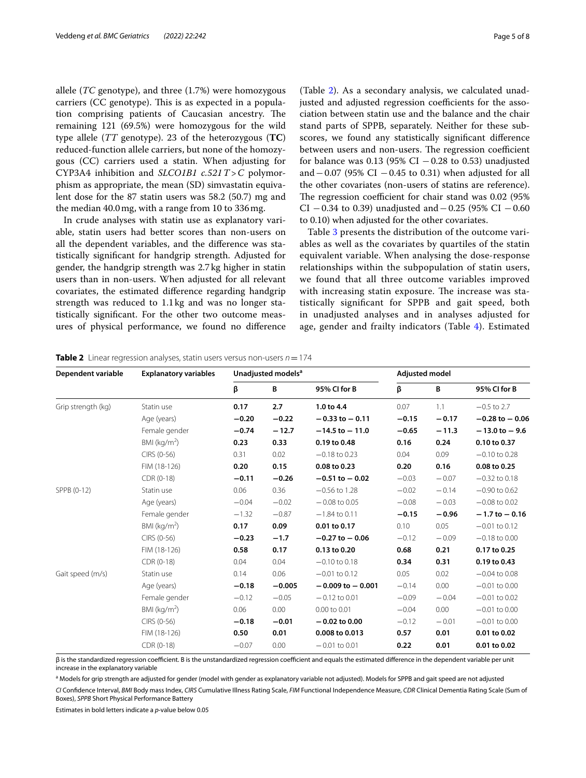allele (*TC* genotype), and three (1.7%) were homozygous carriers (CC genotype). This is as expected in a population comprising patients of Caucasian ancestry. The remaining 121 (69.5%) were homozygous for the wild type allele (*TT* genotype). 23 of the heterozygous (**TC**) reduced-function allele carriers, but none of the homozygous (CC) carriers used a statin. When adjusting for CYP3A4 inhibition and *SLCO1B1 c.521T>C* polymorphism as appropriate, the mean (SD) simvastatin equivalent dose for the 87 statin users was 58.2 (50.7) mg and the median 40.0mg, with a range from 10 to 336mg.

In crude analyses with statin use as explanatory variable, statin users had better scores than non-users on all the dependent variables, and the diference was statistically signifcant for handgrip strength. Adjusted for gender, the handgrip strength was 2.7kg higher in statin users than in non-users. When adjusted for all relevant covariates, the estimated diference regarding handgrip strength was reduced to 1.1kg and was no longer statistically signifcant. For the other two outcome measures of physical performance, we found no diference

(Table [2\)](#page-4-0). As a secondary analysis, we calculated unadjusted and adjusted regression coefficients for the association between statin use and the balance and the chair stand parts of SPPB, separately. Neither for these subscores, we found any statistically signifcant diference between users and non-users. The regression coefficient for balance was 0.13 (95% CI −0.28 to 0.53) unadjusted and  $-0.07$  (95% CI  $-0.45$  to 0.31) when adjusted for all the other covariates (non-users of statins are reference). The regression coefficient for chair stand was 0.02 (95%) CI −0.34 to 0.39) unadjusted and −0.25 (95% CI −0.60 to 0.10) when adjusted for the other covariates.

Table [3](#page-5-0) presents the distribution of the outcome variables as well as the covariates by quartiles of the statin equivalent variable. When analysing the dose-response relationships within the subpopulation of statin users, we found that all three outcome variables improved with increasing statin exposure. The increase was statistically signifcant for SPPB and gait speed, both in unadjusted analyses and in analyses adjusted for age, gender and frailty indicators (Table [4](#page-5-1)). Estimated

| Dependent variable | <b>Explanatory variables</b> | Unadjusted models <sup>a</sup> |          |                      | <b>Adjusted model</b> |         |                    |
|--------------------|------------------------------|--------------------------------|----------|----------------------|-----------------------|---------|--------------------|
|                    |                              | β                              | B        | 95% CI for B         | β                     | B       | 95% CI for B       |
| Grip strength (kg) | Statin use                   | 0.17                           | 2.7      | 1.0 to 4.4           | 0.07                  | 1.1     | $-0.5$ to 2.7      |
|                    | Age (years)                  | $-0.20$                        | $-0.22$  | $-0.33$ to $-0.11$   | $-0.15$               | $-0.17$ | $-0.28$ to $-0.06$ |
|                    | Female gender                | $-0.74$                        | $-12.7$  | $-14.5$ to $-11.0$   | $-0.65$               | $-11.3$ | $-13.0$ to $-9.6$  |
|                    | BMI ( $kg/m2$ )              | 0.23                           | 0.33     | 0.19 to 0.48         | 0.16                  | 0.24    | 0.10 to 0.37       |
|                    | CIRS (0-56)                  | 0.31                           | 0.02     | $-0.18$ to 0.23      | 0.04                  | 0.09    | $-0.10$ to 0.28    |
|                    | FIM (18-126)                 | 0.20                           | 0.15     | 0.08 to 0.23         | 0.20                  | 0.16    | 0.08 to 0.25       |
|                    | CDR (0-18)                   | $-0.11$                        | $-0.26$  | $-0.51$ to $-0.02$   | $-0.03$               | $-0.07$ | $-0.32$ to 0.18    |
| SPPB (0-12)        | Statin use                   | 0.06                           | 0.36     | $-0.56$ to 1.28      | $-0.02$               | $-0.14$ | $-0.90$ to 0.62    |
|                    | Age (years)                  | $-0.04$                        | $-0.02$  | $-0.08$ to 0.05      | $-0.08$               | $-0.03$ | $-0.08$ to 0.02    |
|                    | Female gender                | $-1.32$                        | $-0.87$  | $-1.84$ to 0.11      | $-0.15$               | $-0.96$ | $-1.7$ to $-0.16$  |
|                    | BMI ( $kg/m2$ )              | 0.17                           | 0.09     | 0.01 to 0.17         | 0.10                  | 0.05    | $-0.01$ to 0.12    |
|                    | CIRS (0-56)                  | $-0.23$                        | $-1.7$   | $-0.27$ to $-0.06$   | $-0.12$               | $-0.09$ | $-0.18$ to $0.00$  |
|                    | FIM (18-126)                 | 0.58                           | 0.17     | 0.13 to 0.20         | 0.68                  | 0.21    | 0.17 to 0.25       |
|                    | CDR (0-18)                   | 0.04                           | 0.04     | $-0.10$ to 0.18      | 0.34                  | 0.31    | 0.19 to 0.43       |
| Gait speed (m/s)   | Statin use                   | 0.14                           | 0.06     | $-0.01$ to 0.12      | 0.05                  | 0.02    | $-0.04$ to 0.08    |
|                    | Age (years)                  | $-0.18$                        | $-0.005$ | $-0.009$ to $-0.001$ | $-0.14$               | 0.00    | $-0.01$ to 0.00    |
|                    | Female gender                | $-0.12$                        | $-0.05$  | $-0.12$ to 0.01      | $-0.09$               | $-0.04$ | $-0.01$ to 0.02    |
|                    | BMI ( $kg/m2$ )              | 0.06                           | 0.00     | 0.00 to 0.01         | $-0.04$               | 0.00    | $-0.01$ to $0.00$  |
|                    | CIRS (0-56)                  | $-0.18$                        | $-0.01$  | $-0.02$ to 0.00      | $-0.12$               | $-0.01$ | $-0.01$ to $0.00$  |
|                    | FIM (18-126)                 | 0.50                           | 0.01     | 0.008 to 0.013       | 0.57                  | 0.01    | 0.01 to 0.02       |
|                    | CDR (0-18)                   | $-0.07$                        | 0.00     | $-0.01$ to 0.01      | 0.22                  | 0.01    | 0.01 to 0.02       |
|                    |                              |                                |          |                      |                       |         |                    |

<span id="page-4-0"></span>**Table 2** Linear regression analyses, statin users versus non-users  $n = 174$ 

β is the standardized regression coefcient. B is the unstandardized regression coefcient and equals the estimated diference in the dependent variable per unit increase in the explanatory variable

<sup>a</sup> Models for grip strength are adjusted for gender (model with gender as explanatory variable not adjusted). Models for SPPB and gait speed are not adjusted

*CI* Confdence Interval, *BMI* Body mass Index, *CIRS* Cumulative Illness Rating Scale, *FIM* Functional Independence Measure, *CDR* Clinical Dementia Rating Scale (Sum of Boxes), *SPPB* Short Physical Performance Battery

Estimates in bold letters indicate a *p*-value below 0.05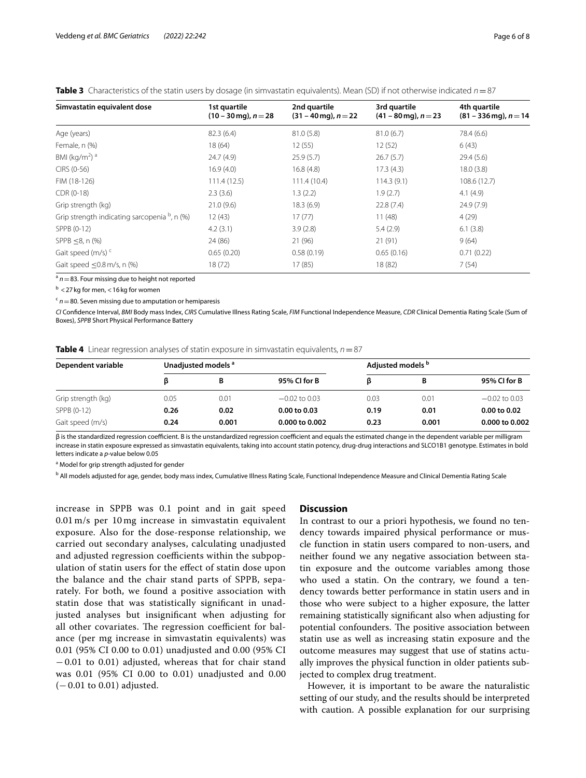| Simvastatin equivalent dose                  | 1st quartile<br>$(10 - 30$ mg), $n = 28$ | 2nd quartile<br>$(31 - 40$ mg), $n = 22$ | 3rd quartile<br>$(41 - 80$ mg), $n = 23$ | 4th quartile<br>$(81 - 336$ mg), $n = 14$ |  |
|----------------------------------------------|------------------------------------------|------------------------------------------|------------------------------------------|-------------------------------------------|--|
| Age (years)                                  | 82.3(6.4)                                | 81.0(5.8)                                | 81.0(6.7)                                | 78.4 (6.6)                                |  |
| Female, n (%)                                | 18(64)                                   | 12(55)                                   | 12(52)                                   | 6(43)                                     |  |
| BMI (kg/m <sup>2</sup> ) <sup>a</sup>        | 24.7(4.9)                                | 25.9(5.7)                                | 26.7(5.7)                                | 29.4(5.6)                                 |  |
| CIRS (0-56)                                  | 16.9(4.0)                                | 16.8(4.8)                                | 17.3(4.3)                                | 18.0(3.8)                                 |  |
| FIM (18-126)                                 | 111.4(12.5)                              | 111.4(10.4)                              | 114.3(9.1)                               | 108.6(12.7)                               |  |
| CDR (0-18)                                   | 2.3(3.6)                                 | 1.3(2.2)                                 | 1.9(2.7)                                 | 4.1(4.9)                                  |  |
| Grip strength (kg)                           | 21.0(9.6)                                | 18.3(6.9)                                | 22.8(7.4)                                | 24.9(7.9)                                 |  |
| Grip strength indicating sarcopenia b, n (%) | 12(43)                                   | 17(77)                                   | 11(48)                                   | 4(29)                                     |  |
| SPPB (0-12)                                  | 4.2(3.1)                                 | 3.9(2.8)                                 | 5.4(2.9)                                 | 6.1(3.8)                                  |  |
| SPPB $\leq$ 8, n $(\%)$                      | 24 (86)                                  | 21 (96)                                  | 21(91)                                   | 9(64)                                     |  |
| Gait speed (m/s) <sup>c</sup>                | 0.65(0.20)                               | 0.58(0.19)                               | 0.65(0.16)                               | 0.71(0.22)                                |  |
| Gait speed $<$ 0.8 m/s, n $(\%)$             | 18(72)                                   | 17(85)                                   | 18 (82)                                  | 7(54)                                     |  |

<span id="page-5-0"></span>**Table 3** Characteristics of the statin users by dosage (in simvastatin equivalents). Mean (SD) if not otherwise indicated *n*=87

 $a^2$   $n = 83$ . Four missing due to height not reported

 $b < 27$  kg for men, < 16 kg for women

 $c<sub>n</sub>=80$ . Seven missing due to amputation or hemiparesis

*CI* Confdence Interval, *BMI* Body mass Index, *CIRS* Cumulative Illness Rating Scale, *FIM* Functional Independence Measure, *CDR* Clinical Dementia Rating Scale (Sum of Boxes), *SPPB* Short Physical Performance Battery

<span id="page-5-1"></span>

| <b>Table 4</b> Linear regression analyses of statin exposure in simvastatin equivalents, $n = 87$ |  |
|---------------------------------------------------------------------------------------------------|--|
|---------------------------------------------------------------------------------------------------|--|

| Dependent variable |      | Unadjusted models <sup>a</sup> |                  |      | Adjusted models <sup>b</sup> |                 |  |
|--------------------|------|--------------------------------|------------------|------|------------------------------|-----------------|--|
|                    |      | В                              | 95% CI for B     |      | В                            | 95% CI for B    |  |
| Grip strength (kg) | 0.05 | 0.01                           | $-0.02$ to 0.03  | 0.03 | 0.01                         | $-0.02$ to 0.03 |  |
| SPPB (0-12)        | 0.26 | 0.02                           | $0.00$ to $0.03$ | 0.19 | 0.01                         | 0.00 to 0.02    |  |
| Gait speed (m/s)   | 0.24 | 0.001                          | 0.000 to 0.002   | 0.23 | 0.001                        | 0.000 to 0.002  |  |

 $\beta$  is the standardized regression coefficient. B is the unstandardized regression coefficient and equals the estimated change in the dependent variable per milligram increase in statin exposure expressed as simvastatin equivalents, taking into account statin potency, drug-drug interactions and SLCO1B1 genotype. Estimates in bold letters indicate a *p*-value below 0.05

<sup>a</sup> Model for grip strength adjusted for gender

<sup>b</sup> All models adjusted for age, gender, body mass index, Cumulative Illness Rating Scale, Functional Independence Measure and Clinical Dementia Rating Scale

increase in SPPB was 0.1 point and in gait speed 0.01 m/s per 10 mg increase in simvastatin equivalent exposure. Also for the dose-response relationship, we carried out secondary analyses, calculating unadjusted and adjusted regression coefficients within the subpopulation of statin users for the efect of statin dose upon the balance and the chair stand parts of SPPB, separately. For both, we found a positive association with statin dose that was statistically signifcant in unadjusted analyses but insignifcant when adjusting for all other covariates. The regression coefficient for balance (per mg increase in simvastatin equivalents) was 0.01 (95% CI 0.00 to 0.01) unadjusted and 0.00 (95% CI −0.01 to 0.01) adjusted, whereas that for chair stand was 0.01 (95% CI 0.00 to 0.01) unadjusted and 0.00 (−0.01 to 0.01) adjusted.

# **Discussion**

In contrast to our a priori hypothesis, we found no tendency towards impaired physical performance or muscle function in statin users compared to non-users, and neither found we any negative association between statin exposure and the outcome variables among those who used a statin. On the contrary, we found a tendency towards better performance in statin users and in those who were subject to a higher exposure, the latter remaining statistically signifcant also when adjusting for potential confounders. The positive association between statin use as well as increasing statin exposure and the outcome measures may suggest that use of statins actually improves the physical function in older patients subjected to complex drug treatment.

However, it is important to be aware the naturalistic setting of our study, and the results should be interpreted with caution. A possible explanation for our surprising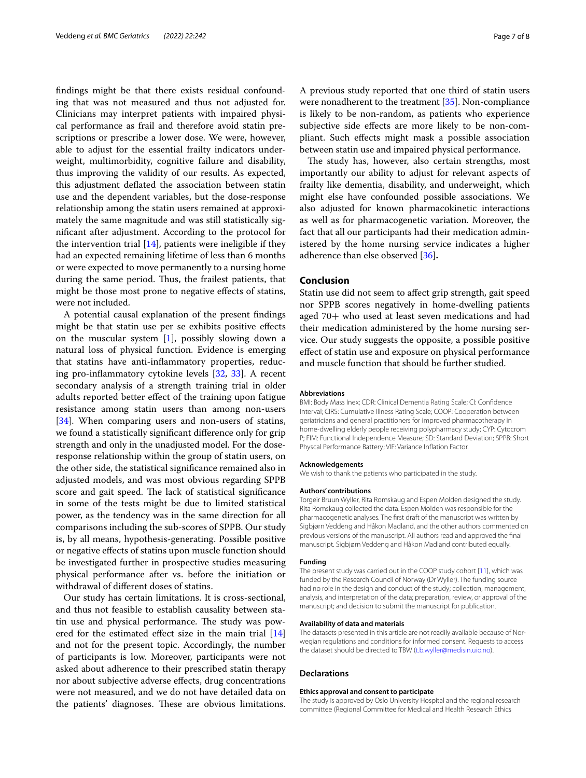fndings might be that there exists residual confounding that was not measured and thus not adjusted for. Clinicians may interpret patients with impaired physical performance as frail and therefore avoid statin prescriptions or prescribe a lower dose. We were, however, able to adjust for the essential frailty indicators underweight, multimorbidity, cognitive failure and disability, thus improving the validity of our results. As expected, this adjustment defated the association between statin use and the dependent variables, but the dose-response relationship among the statin users remained at approximately the same magnitude and was still statistically signifcant after adjustment. According to the protocol for the intervention trial  $[14]$  $[14]$ , patients were ineligible if they had an expected remaining lifetime of less than 6 months or were expected to move permanently to a nursing home during the same period. Thus, the frailest patients, that might be those most prone to negative efects of statins, were not included.

A potential causal explanation of the present fndings might be that statin use per se exhibits positive efects on the muscular system  $[1]$  $[1]$ , possibly slowing down a natural loss of physical function. Evidence is emerging that statins have anti-infammatory properties, reducing pro-infammatory cytokine levels [\[32,](#page-7-30) [33\]](#page-7-31). A recent secondary analysis of a strength training trial in older adults reported better efect of the training upon fatigue resistance among statin users than among non-users [[34\]](#page-7-32). When comparing users and non-users of statins, we found a statistically signifcant diference only for grip strength and only in the unadjusted model. For the doseresponse relationship within the group of statin users, on the other side, the statistical signifcance remained also in adjusted models, and was most obvious regarding SPPB score and gait speed. The lack of statistical significance in some of the tests might be due to limited statistical power, as the tendency was in the same direction for all comparisons including the sub-scores of SPPB. Our study is, by all means, hypothesis-generating. Possible positive or negative efects of statins upon muscle function should be investigated further in prospective studies measuring physical performance after vs. before the initiation or withdrawal of diferent doses of statins.

Our study has certain limitations. It is cross-sectional, and thus not feasible to establish causality between statin use and physical performance. The study was pow-ered for the estimated effect size in the main trial [[14](#page-7-13)] and not for the present topic. Accordingly, the number of participants is low. Moreover, participants were not asked about adherence to their prescribed statin therapy nor about subjective adverse efects, drug concentrations were not measured, and we do not have detailed data on the patients' diagnoses. These are obvious limitations. A previous study reported that one third of statin users were nonadherent to the treatment [[35](#page-7-33)]. Non-compliance is likely to be non-random, as patients who experience subjective side efects are more likely to be non-compliant. Such efects might mask a possible association between statin use and impaired physical performance.

The study has, however, also certain strengths, most importantly our ability to adjust for relevant aspects of frailty like dementia, disability, and underweight, which might else have confounded possible associations. We also adjusted for known pharmacokinetic interactions as well as for pharmacogenetic variation. Moreover, the fact that all our participants had their medication administered by the home nursing service indicates a higher adherence than else observed [\[36\]](#page-7-34)**.**

# **Conclusion**

Statin use did not seem to afect grip strength, gait speed nor SPPB scores negatively in home-dwelling patients aged 70+ who used at least seven medications and had their medication administered by the home nursing service. Our study suggests the opposite, a possible positive efect of statin use and exposure on physical performance and muscle function that should be further studied.

#### **Abbreviations**

BMI: Body Mass Inex; CDR: Clinical Dementia Rating Scale; CI: Confdence Interval; CIRS: Cumulative Illness Rating Scale; COOP: Cooperation between geriatricians and general practitioners for improved pharmacotherapy in home-dwelling elderly people receiving polypharmacy study; CYP: Cytocrom P; FIM: Functional Independence Measure; SD: Standard Deviation; SPPB: Short Physcal Performance Battery; VIF: Variance Infation Factor.

# **Acknowledgements**

We wish to thank the patients who participated in the study.

#### **Authors' contributions**

Torgeir Bruun Wyller, Rita Romskaug and Espen Molden designed the study. Rita Romskaug collected the data. Espen Molden was responsible for the pharmacogenetic analyses. The frst draft of the manuscript was written by Sigbjørn Veddeng and Håkon Madland, and the other authors commented on previous versions of the manuscript. All authors read and approved the fnal manuscript. Sigbjørn Veddeng and Håkon Madland contributed equally.

## **Funding**

The present study was carried out in the COOP study cohort [[11\]](#page-7-10), which was funded by the Research Council of Norway (Dr Wyller). The funding source had no role in the design and conduct of the study; collection, management, analysis, and interpretation of the data; preparation, review, or approval of the manuscript; and decision to submit the manuscript for publication.

#### **Availability of data and materials**

The datasets presented in this article are not readily available because of Norwegian regulations and conditions for informed consent. Requests to access the dataset should be directed to TBW ([t.b.wyller@medisin.uio.no\)](t.b.wyller@medisin.uio.no).

#### **Declarations**

#### **Ethics approval and consent to participate**

The study is approved by Oslo University Hospital and the regional research committee (Regional Committee for Medical and Health Research Ethics